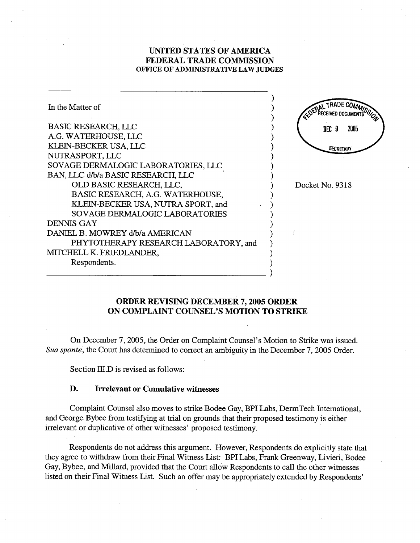## UNITED STATES OF AMERICA FEDERAL TRADE COMMSSION OFFICE OF ADMINISTRATIVE LAW JUDGES

| In the Matter of                      | CEPTAL TRADE COMMISSOL |
|---------------------------------------|------------------------|
| <b>BASIC RESEARCH, LLC</b>            | 2005<br>DEC 9          |
| A.G. WATERHOUSE, LLC                  |                        |
| KLEIN-BECKER USA, LLC                 | <b>SECRETARY</b>       |
| NUTRASPORT, LLC                       |                        |
| SOVAGE DERMALOGIC LABORATORIES, LLC   |                        |
| BAN, LLC d/b/a BASIC RESEARCH, LLC    |                        |
| OLD BASIC RESEARCH, LLC,              | Docket No. 9318        |
| BASIC RESEARCH, A.G. WATERHOUSE,      |                        |
| KLEIN-BECKER USA, NUTRA SPORT, and    |                        |
| SOVAGE DERMALOGIC LABORATORIES        |                        |
| <b>DENNIS GAY</b>                     |                        |
| DANIEL B. MOWREY d/b/a AMERICAN       |                        |
| PHYTOTHERAPY RESEARCH LABORATORY, and |                        |
| MITCHELL K. FRIEDLANDER,              |                        |
| Respondents.                          |                        |
|                                       |                        |

## ORDER REVISING DECEMBER 7, 2005 ORDER ON COMPLAINT COUNSEL'S MOTION TO STRIKE

- 1

On December 7, 2005, the Order on Complaint Counsel's Motion to Strike was issued. Sua sponte, the Court has determined to correct an ambiguity in the December 7, 2005 Order.

Section III.D is revised as follows:

## D. Irrelevant or Cumulative witnesses

Complaint Counsel also moves to strike Bodee Gay, BPI Labs, DermTech International, and George Bybee from testifying at tral on grounds that their proposed testimony is either irrelevant or duplicative of other witnesses' proposed testimony.

Respondents do not address this argument. However, Respondents do explicitly state that they agree to withdraw from their Final Witness List: BPI Labs, Frank Greenway, Livieri, Bodee Gay, Bybee, and Millard, provided that the Court allow Respondents to call the other witnesses listed on their Final Witness List. Such an offer may be appropriately extended by Respondents